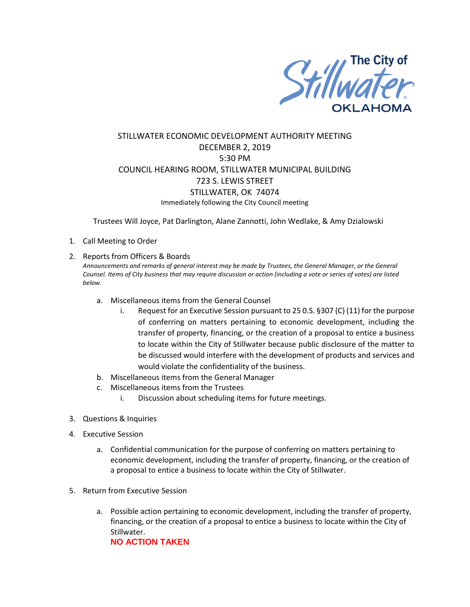

## STILLWATER ECONOMIC DEVELOPMENT AUTHORITY MEETING DECEMBER 2, 2019 5:30 PM COUNCIL HEARING ROOM, STILLWATER MUNICIPAL BUILDING 723 S. LEWIS STREET STILLWATER, OK 74074 Immediately following the City Council meeting

Trustees Will Joyce, Pat Darlington, Alane Zannotti, John Wedlake, & Amy Dzialowski

- 1. Call Meeting to Order
- 2. Reports from Officers & Boards

*Announcements and remarks of general interest may be made by Trustees, the General Manager, or the General Counsel. Items of City business that may require discussion or action (including a vote or series of votes) are listed below.*

- a. Miscellaneous items from the General Counsel
	- i. Request for an Executive Session pursuant to 25 0.S. §307 (C) (11) for the purpose of conferring on matters pertaining to economic development, including the transfer of property, financing, or the creation of a proposal to entice a business to locate within the City of Stillwater because public disclosure of the matter to be discussed would interfere with the development of products and services and would violate the confidentiality of the business.
- b. Miscellaneous items from the General Manager
- c. Miscellaneous items from the Trustees
	- i. Discussion about scheduling items for future meetings.
- 3. Questions & Inquiries
- 4. Executive Session
	- a. Confidential communication for the purpose of conferring on matters pertaining to economic development, including the transfer of property, financing, or the creation of a proposal to entice a business to locate within the City of Stillwater.
- 5. Return from Executive Session
	- a. Possible action pertaining to economic development, including the transfer of property, financing, or the creation of a proposal to entice a business to locate within the City of Stillwater. **NO ACTION TAKEN**